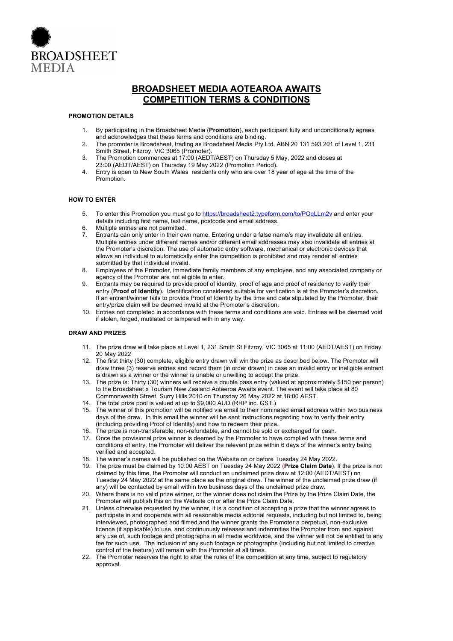

# **BROADSHEET MEDIA AOTEAROA AWAITS COMPETITION TERMS & CONDITIONS**

#### **PROMOTION DETAILS**

- 1. By participating in the Broadsheet Media (**Promotion**), each participant fully and unconditionally agrees and acknowledges that these terms and conditions are binding.
- 2. The promoter is Broadsheet, trading as Broadsheet Media Pty Ltd, ABN 20 131 593 201 of Level 1, 231 Smith Street, Fitzroy, VIC 3065 (Promoter).
- 3. The Promotion commences at 17:00 (AEDT/AEST) on Thursday 5 May, 2022 and closes at 23:00 (AEDT/AEST) on Thursday 19 May 2022 (Promotion Period).
- 4. Entry is open to New South Wales residents only who are over 18 year of age at the time of the Promotion.

## **HOW TO ENTER**

- 5. To enter this Promotion you must go to https://broadsheet2.typeform.com/to/POqLLm2v and enter your details including first name, last name, postcode and email address.
- 6. Multiple entries are not permitted.
- 7. Entrants can only enter in their own name. Entering under a false name/s may invalidate all entries. Multiple entries under different names and/or different email addresses may also invalidate all entries at the Promoter's discretion. The use of automatic entry software, mechanical or electronic devices that allows an individual to automatically enter the competition is prohibited and may render all entries submitted by that individual invalid.
- 8. Employees of the Promoter, immediate family members of any employee, and any associated company or agency of the Promoter are not eligible to enter.
- 9. Entrants may be required to provide proof of identity, proof of age and proof of residency to verify their entry (**Proof of Identity**). Identification considered suitable for verification is at the Promoter's discretion. If an entrant/winner fails to provide Proof of Identity by the time and date stipulated by the Promoter, their entry/prize claim will be deemed invalid at the Promoter's discretion.
- 10. Entries not completed in accordance with these terms and conditions are void. Entries will be deemed void if stolen, forged, mutilated or tampered with in any way.

#### **DRAW AND PRIZES**

- 11. The prize draw will take place at Level 1, 231 Smith St Fitzroy, VIC 3065 at 11:00 (AEDT/AEST) on Friday 20 May 2022
- 12. The first thirty (30) complete, eligible entry drawn will win the prize as described below. The Promoter will draw three (3) reserve entries and record them (in order drawn) in case an invalid entry or ineligible entrant is drawn as a winner or the winner is unable or unwilling to accept the prize.
- 13. The prize is: Thirty (30) winners will receive a double pass entry (valued at approximately \$150 per person) to the Broadsheet x Tourism New Zealand Aotaeroa Awaits event. The event will take place at 80 Commonwealth Street, Surry Hills 2010 on Thursday 26 May 2022 at 18:00 AEST.
- 14. The total prize pool is valued at up to \$9,000 AUD (RRP inc. GST.)
- 15. The winner of this promotion will be notified via email to their nominated email address within two business days of the draw. In this email the winner will be sent instructions regarding how to verify their entry (including providing Proof of Identity) and how to redeem their prize.
- 16. The prize is non-transferable, non-refundable, and cannot be sold or exchanged for cash.
- 17. Once the provisional prize winner is deemed by the Promoter to have complied with these terms and conditions of entry, the Promoter will deliver the relevant prize within 6 days of the winner's entry being verified and accepted.
- 18. The winner's names will be published on the Website on or before Tuesday 24 May 2022.
- 19. The prize must be claimed by 10:00 AEST on Tuesday 24 May 2022 (**Prize Claim Date**). If the prize is not claimed by this time, the Promoter will conduct an unclaimed prize draw at 12:00 (AEDT/AEST) on Tuesday 24 May 2022 at the same place as the original draw. The winner of the unclaimed prize draw (if any) will be contacted by email within two business days of the unclaimed prize draw.
- 20. Where there is no valid prize winner, or the winner does not claim the Prize by the Prize Claim Date, the Promoter will publish this on the Website on or after the Prize Claim Date.
- 21. Unless otherwise requested by the winner, it is a condition of accepting a prize that the winner agrees to participate in and cooperate with all reasonable media editorial requests, including but not limited to, being interviewed, photographed and filmed and the winner grants the Promoter a perpetual, non-exclusive licence (if applicable) to use, and continuously releases and indemnifies the Promoter from and against any use of, such footage and photographs in all media worldwide, and the winner will not be entitled to any fee for such use. The inclusion of any such footage or photographs (including but not limited to creative control of the feature) will remain with the Promoter at all times.
- 22. The Promoter reserves the right to alter the rules of the competition at any time, subject to regulatory approval.